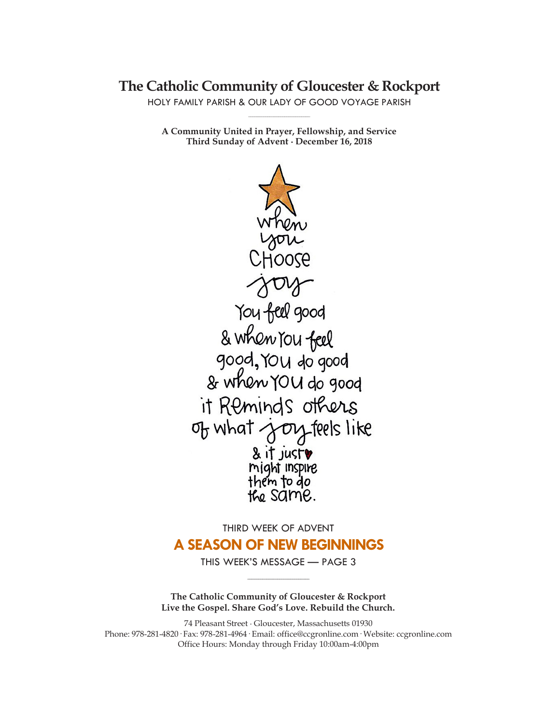# **The Catholic Community of Gloucester & Rockport**

HOLY FAMILY PARISH & OUR LADY OF GOOD VOYAGE PARISH **\_\_\_\_\_\_\_\_\_\_\_\_\_\_\_\_\_\_\_\_\_\_\_\_\_\_\_\_\_**

**A Community United in Prayer, Fellowship, and Service Third Sunday of Advent ∙ December 16, 2018**



# THIRD WEEK OF ADVENT

# **A SEASON OF NEW BEGINNINGS**

THIS WEEK'S MESSAGE — PAGE 3 **\_\_\_\_\_\_\_\_\_\_\_\_\_\_\_\_\_\_\_\_\_\_\_\_\_\_\_\_\_**

**The Catholic Community of Gloucester & Rockport Live the Gospel. Share God's Love. Rebuild the Church.**

74 Pleasant Street ∙ Gloucester, Massachusetts 01930 Phone: 978-281-4820· Fax: 978-281-4964· Email: office@ccgronline.com· Website: ccgronline.com Office Hours: Monday through Friday 10:00am-4:00pm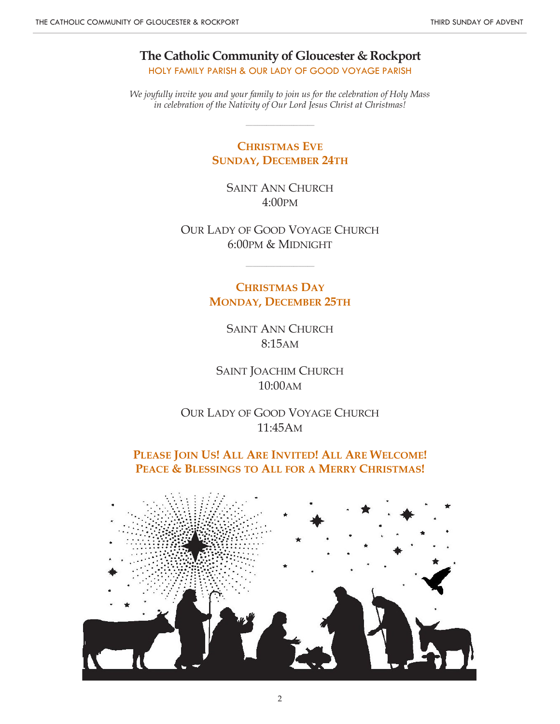**The Catholic Community of Gloucester & Rockport** HOLY FAMILY PARISH & OUR LADY OF GOOD VOYAGE PARISH

*We joyfully invite you and your family to join us for the celebration of Holy Mass in celebration of the Nativity of Our Lord Jesus Christ at Christmas!*

 $\_$ 

# **CHRISTMAS EVE SUNDAY, DECEMBER 24TH**

SAINT ANN CHURCH 4:00PM

OUR LADY OF GOOD VOYAGE CHURCH 6:00PM & MIDNIGHT

\_\_\_\_\_\_\_\_\_\_\_\_\_\_\_\_\_\_\_\_\_\_\_\_\_\_\_\_\_\_

**CHRISTMAS DAY MONDAY, DECEMBER 25TH**

> SAINT ANN CHURCH 8:15AM

SAINT JOACHIM CHURCH 10:00AM

OUR LADY OF GOOD VOYAGE CHURCH 11:45AM

**PLEASE JOIN US! ALL ARE INVITED! ALL ARE WELCOME! PEACE & BLESSINGS TO ALL FOR A MERRY CHRISTMAS!**

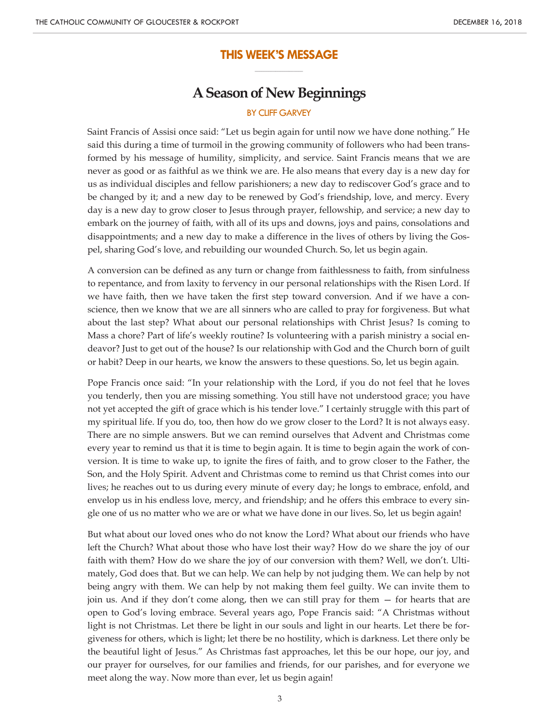## **THIS WEEK'S MESSAGE \_\_\_\_\_\_\_\_\_\_\_\_\_\_\_\_\_\_\_\_\_**

# **A Season of New Beginnings**

## **BY CLIFF GARVEY**

Saint Francis of Assisi once said: "Let us begin again for until now we have done nothing." He said this during a time of turmoil in the growing community of followers who had been transformed by his message of humility, simplicity, and service. Saint Francis means that we are never as good or as faithful as we think we are. He also means that every day is a new day for us as individual disciples and fellow parishioners; a new day to rediscover God's grace and to be changed by it; and a new day to be renewed by God's friendship, love, and mercy. Every day is a new day to grow closer to Jesus through prayer, fellowship, and service; a new day to embark on the journey of faith, with all of its ups and downs, joys and pains, consolations and disappointments; and a new day to make a difference in the lives of others by living the Gospel, sharing God's love, and rebuilding our wounded Church. So, let us begin again.

A conversion can be defined as any turn or change from faithlessness to faith, from sinfulness to repentance, and from laxity to fervency in our personal relationships with the Risen Lord. If we have faith, then we have taken the first step toward conversion. And if we have a conscience, then we know that we are all sinners who are called to pray for forgiveness. But what about the last step? What about our personal relationships with Christ Jesus? Is coming to Mass a chore? Part of life's weekly routine? Is volunteering with a parish ministry a social endeavor? Just to get out of the house? Is our relationship with God and the Church born of guilt or habit? Deep in our hearts, we know the answers to these questions. So, let us begin again.

Pope Francis once said: "In your relationship with the Lord, if you do not feel that he loves you tenderly, then you are missing something. You still have not understood grace; you have not yet accepted the gift of grace which is his tender love." I certainly struggle with this part of my spiritual life. If you do, too, then how do we grow closer to the Lord? It is not always easy. There are no simple answers. But we can remind ourselves that Advent and Christmas come every year to remind us that it is time to begin again. It is time to begin again the work of conversion. It is time to wake up, to ignite the fires of faith, and to grow closer to the Father, the Son, and the Holy Spirit. Advent and Christmas come to remind us that Christ comes into our lives; he reaches out to us during every minute of every day; he longs to embrace, enfold, and envelop us in his endless love, mercy, and friendship; and he offers this embrace to every single one of us no matter who we are or what we have done in our lives. So, let us begin again!

But what about our loved ones who do not know the Lord? What about our friends who have left the Church? What about those who have lost their way? How do we share the joy of our faith with them? How do we share the joy of our conversion with them? Well, we don't. Ultimately, God does that. But we can help. We can help by not judging them. We can help by not being angry with them. We can help by not making them feel guilty. We can invite them to join us. And if they don't come along, then we can still pray for them — for hearts that are open to God's loving embrace. Several years ago, Pope Francis said: "A Christmas without light is not Christmas. Let there be light in our souls and light in our hearts. Let there be forgiveness for others, which is light; let there be no hostility, which is darkness. Let there only be the beautiful light of Jesus." As Christmas fast approaches, let this be our hope, our joy, and our prayer for ourselves, for our families and friends, for our parishes, and for everyone we meet along the way. Now more than ever, let us begin again!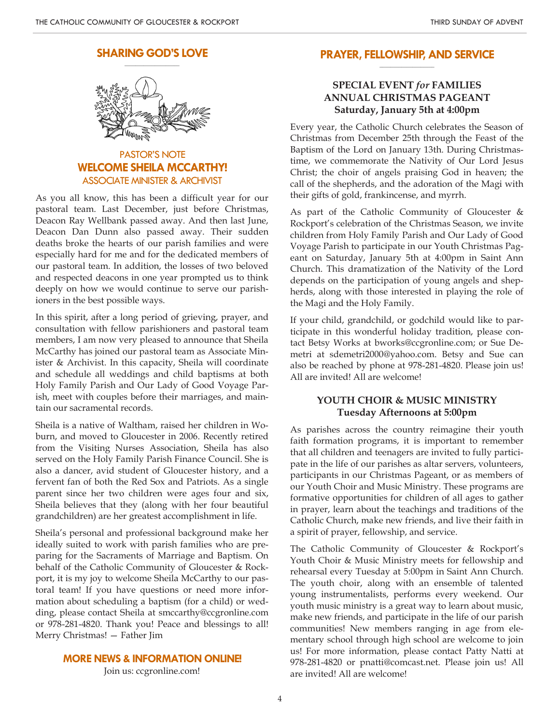#### **SHARING GOD'S LOVE \_\_\_\_\_\_\_\_\_\_\_\_\_\_\_\_\_\_\_\_**



# PASTOR'S NOTE **WELCOME SHEILA MCCARTHY!** ASSOCIATE MINISTER & ARCHIVIST

As you all know, this has been a difficult year for our pastoral team. Last December, just before Christmas, Deacon Ray Wellbank passed away. And then last June, Deacon Dan Dunn also passed away. Their sudden deaths broke the hearts of our parish families and were especially hard for me and for the dedicated members of our pastoral team. In addition, the losses of two beloved and respected deacons in one year prompted us to think deeply on how we would continue to serve our parishioners in the best possible ways.

In this spirit, after a long period of grieving, prayer, and consultation with fellow parishioners and pastoral team members, I am now very pleased to announce that Sheila McCarthy has joined our pastoral team as Associate Minister & Archivist. In this capacity, Sheila will coordinate and schedule all weddings and child baptisms at both Holy Family Parish and Our Lady of Good Voyage Parish, meet with couples before their marriages, and maintain our sacramental records.

Sheila is a native of Waltham, raised her children in Woburn, and moved to Gloucester in 2006. Recently retired from the Visiting Nurses Association, Sheila has also served on the Holy Family Parish Finance Council. She is also a dancer, avid student of Gloucester history, and a fervent fan of both the Red Sox and Patriots. As a single parent since her two children were ages four and six, Sheila believes that they (along with her four beautiful grandchildren) are her greatest accomplishment in life.

Sheila's personal and professional background make her ideally suited to work with parish families who are preparing for the Sacraments of Marriage and Baptism. On behalf of the Catholic Community of Gloucester & Rockport, it is my joy to welcome Sheila McCarthy to our pastoral team! If you have questions or need more information about scheduling a baptism (for a child) or wedding, please contact Sheila at smccarthy@ccgronline.com or 978-281-4820. Thank you! Peace and blessings to all! Merry Christmas! — Father Jim

#### **MORE NEWS & INFORMATION ONLINE!**

Join us: ccgronline.com!

#### **PRAYER, FELLOWSHIP, AND SERVICE \_\_\_\_\_\_\_\_\_\_\_\_\_\_\_\_\_\_\_\_**

# **SPECIAL EVENT** *for* **FAMILIES ANNUAL CHRISTMAS PAGEANT Saturday, January 5th at 4:00pm**

Every year, the Catholic Church celebrates the Season of Christmas from December 25th through the Feast of the Baptism of the Lord on January 13th. During Christmastime, we commemorate the Nativity of Our Lord Jesus Christ; the choir of angels praising God in heaven; the call of the shepherds, and the adoration of the Magi with their gifts of gold, frankincense, and myrrh.

As part of the Catholic Community of Gloucester & Rockport's celebration of the Christmas Season, we invite children from Holy Family Parish and Our Lady of Good Voyage Parish to participate in our Youth Christmas Pageant on Saturday, January 5th at 4:00pm in Saint Ann Church. This dramatization of the Nativity of the Lord depends on the participation of young angels and shepherds, along with those interested in playing the role of the Magi and the Holy Family.

If your child, grandchild, or godchild would like to participate in this wonderful holiday tradition, please contact Betsy Works at bworks@ccgronline.com; or Sue Demetri at sdemetri2000@yahoo.com. Betsy and Sue can also be reached by phone at 978-281-4820. Please join us! All are invited! All are welcome!

### **YOUTH CHOIR & MUSIC MINISTRY Tuesday Afternoons at 5:00pm**

As parishes across the country reimagine their youth faith formation programs, it is important to remember that all children and teenagers are invited to fully participate in the life of our parishes as altar servers, volunteers, participants in our Christmas Pageant, or as members of our Youth Choir and Music Ministry. These programs are formative opportunities for children of all ages to gather in prayer, learn about the teachings and traditions of the Catholic Church, make new friends, and live their faith in a spirit of prayer, fellowship, and service.

The Catholic Community of Gloucester & Rockport's Youth Choir & Music Ministry meets for fellowship and rehearsal every Tuesday at 5:00pm in Saint Ann Church. The youth choir, along with an ensemble of talented young instrumentalists, performs every weekend. Our youth music ministry is a great way to learn about music, make new friends, and participate in the life of our parish communities! New members ranging in age from elementary school through high school are welcome to join us! For more information, please contact Patty Natti at 978-281-4820 or pnatti@comcast.net. Please join us! All are invited! All are welcome!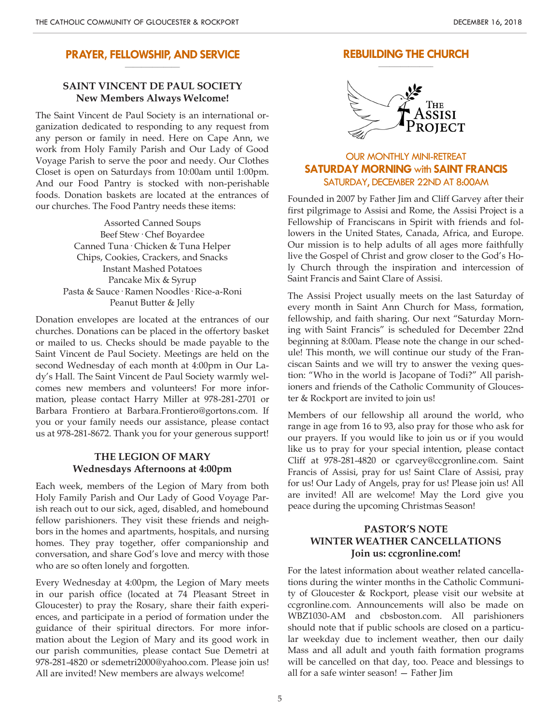#### **PRAYER, FELLOWSHIP, AND SERVICE \_\_\_\_\_\_\_\_\_\_\_\_\_\_\_\_\_\_\_\_**

# **SAINT VINCENT DE PAUL SOCIETY New Members Always Welcome!**

The Saint Vincent de Paul Society is an international organization dedicated to responding to any request from any person or family in need. Here on Cape Ann, we work from Holy Family Parish and Our Lady of Good Voyage Parish to serve the poor and needy. Our Clothes Closet is open on Saturdays from 10:00am until 1:00pm. And our Food Pantry is stocked with non-perishable foods. Donation baskets are located at the entrances of our churches. The Food Pantry needs these items:

> Assorted Canned Soups Beef Stew· Chef Boyardee Canned Tuna· Chicken & Tuna Helper Chips, Cookies, Crackers, and Snacks Instant Mashed Potatoes Pancake Mix & Syrup Pasta & Sauce· Ramen Noodles· Rice-a-Roni Peanut Butter & Jelly

Donation envelopes are located at the entrances of our churches. Donations can be placed in the offertory basket or mailed to us. Checks should be made payable to the Saint Vincent de Paul Society. Meetings are held on the second Wednesday of each month at 4:00pm in Our Lady's Hall. The Saint Vincent de Paul Society warmly welcomes new members and volunteers! For more information, please contact Harry Miller at 978-281-2701 or Barbara Frontiero at Barbara.Frontiero@gortons.com. If you or your family needs our assistance, please contact us at 978-281-8672. Thank you for your generous support!

## **THE LEGION OF MARY Wednesdays Afternoons at 4:00pm**

Each week, members of the Legion of Mary from both Holy Family Parish and Our Lady of Good Voyage Parish reach out to our sick, aged, disabled, and homebound fellow parishioners. They visit these friends and neighbors in the homes and apartments, hospitals, and nursing homes. They pray together, offer companionship and conversation, and share God's love and mercy with those who are so often lonely and forgotten.

Every Wednesday at 4:00pm, the Legion of Mary meets in our parish office (located at 74 Pleasant Street in Gloucester) to pray the Rosary, share their faith experiences, and participate in a period of formation under the guidance of their spiritual directors. For more information about the Legion of Mary and its good work in our parish communities, please contact Sue Demetri at 978-281-4820 or sdemetri2000@yahoo.com. Please join us! All are invited! New members are always welcome!

#### **REBUILDING THE CHURCH \_\_\_\_\_\_\_\_\_\_\_\_\_\_\_\_\_\_\_\_**



# OUR MONTHLY MINI-RETREAT **SATURDAY MORNING** with **SAINT FRANCIS** SATURDAY, DECEMBER 22ND AT 8:00AM

Founded in 2007 by Father Jim and Cliff Garvey after their first pilgrimage to Assisi and Rome, the Assisi Project is a Fellowship of Franciscans in Spirit with friends and followers in the United States, Canada, Africa, and Europe. Our mission is to help adults of all ages more faithfully live the Gospel of Christ and grow closer to the God's Holy Church through the inspiration and intercession of Saint Francis and Saint Clare of Assisi.

The Assisi Project usually meets on the last Saturday of every month in Saint Ann Church for Mass, formation, fellowship, and faith sharing. Our next "Saturday Morning with Saint Francis" is scheduled for December 22nd beginning at 8:00am. Please note the change in our schedule! This month, we will continue our study of the Franciscan Saints and we will try to answer the vexing question: "Who in the world is Jacopane of Todi?" All parishioners and friends of the Catholic Community of Gloucester & Rockport are invited to join us!

Members of our fellowship all around the world, who range in age from 16 to 93, also pray for those who ask for our prayers. If you would like to join us or if you would like us to pray for your special intention, please contact Cliff at 978-281-4820 or cgarvey@ccgronline.com. Saint Francis of Assisi, pray for us! Saint Clare of Assisi, pray for us! Our Lady of Angels, pray for us! Please join us! All are invited! All are welcome! May the Lord give you peace during the upcoming Christmas Season!

# **PASTOR'S NOTE WINTER WEATHER CANCELLATIONS Join us: ccgronline.com!**

For the latest information about weather related cancellations during the winter months in the Catholic Community of Gloucester & Rockport, please visit our website at ccgronline.com. Announcements will also be made on WBZ1030-AM and cbsboston.com. All parishioners should note that if public schools are closed on a particular weekday due to inclement weather, then our daily Mass and all adult and youth faith formation programs will be cancelled on that day, too. Peace and blessings to all for a safe winter season! — Father Jim